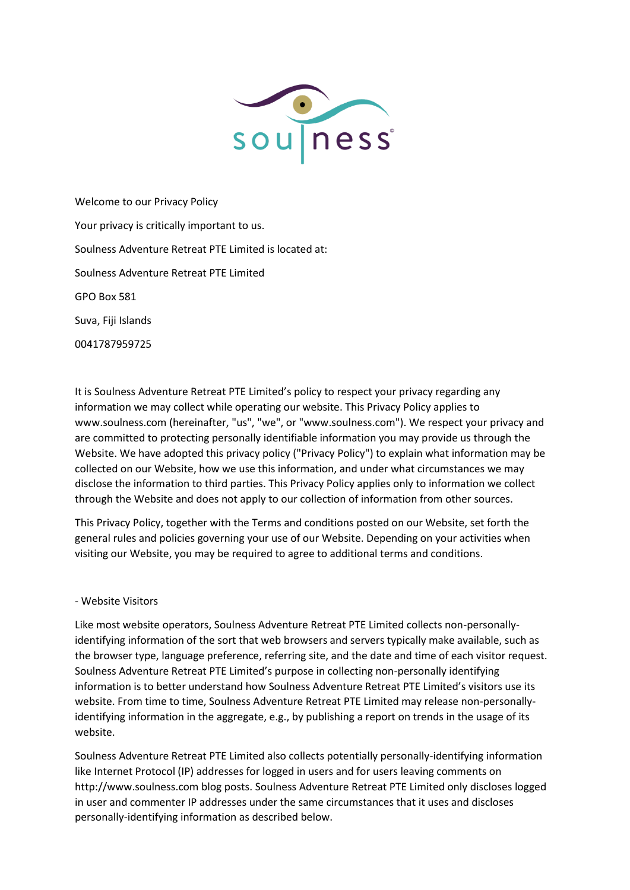

Welcome to our Privacy Policy Your privacy is critically important to us. Soulness Adventure Retreat PTE Limited is located at: Soulness Adventure Retreat PTE Limited GPO Box 581 Suva, Fiji Islands 0041787959725

It is Soulness Adventure Retreat PTE Limited's policy to respect your privacy regarding any information we may collect while operating our website. This Privacy Policy applies to www.soulness.com (hereinafter, "us", "we", or "www.soulness.com"). We respect your privacy and are committed to protecting personally identifiable information you may provide us through the Website. We have adopted this privacy policy ("Privacy Policy") to explain what information may be collected on our Website, how we use this information, and under what circumstances we may disclose the information to third parties. This Privacy Policy applies only to information we collect through the Website and does not apply to our collection of information from other sources.

This Privacy Policy, together with the Terms and conditions posted on our Website, set forth the general rules and policies governing your use of our Website. Depending on your activities when visiting our Website, you may be required to agree to additional terms and conditions.

#### - Website Visitors

Like most website operators, Soulness Adventure Retreat PTE Limited collects non-personallyidentifying information of the sort that web browsers and servers typically make available, such as the browser type, language preference, referring site, and the date and time of each visitor request. Soulness Adventure Retreat PTE Limited's purpose in collecting non-personally identifying information is to better understand how Soulness Adventure Retreat PTE Limited's visitors use its website. From time to time, Soulness Adventure Retreat PTE Limited may release non-personallyidentifying information in the aggregate, e.g., by publishing a report on trends in the usage of its website.

Soulness Adventure Retreat PTE Limited also collects potentially personally-identifying information like Internet Protocol (IP) addresses for logged in users and for users leaving comments on http://www.soulness.com blog posts. Soulness Adventure Retreat PTE Limited only discloses logged in user and commenter IP addresses under the same circumstances that it uses and discloses personally-identifying information as described below.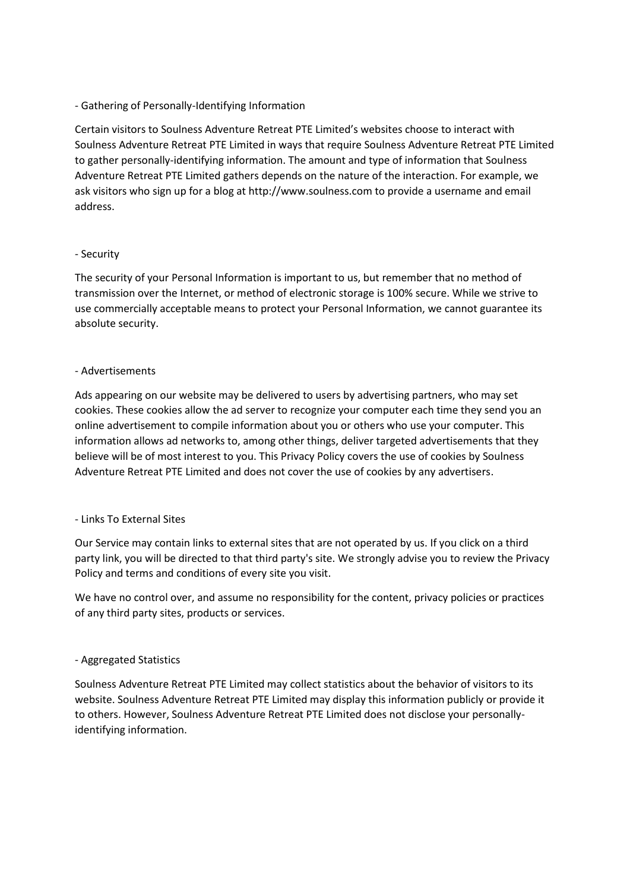## - Gathering of Personally-Identifying Information

Certain visitors to Soulness Adventure Retreat PTE Limited's websites choose to interact with Soulness Adventure Retreat PTE Limited in ways that require Soulness Adventure Retreat PTE Limited to gather personally-identifying information. The amount and type of information that Soulness Adventure Retreat PTE Limited gathers depends on the nature of the interaction. For example, we ask visitors who sign up for a blog at http://www.soulness.com to provide a username and email address.

#### - Security

The security of your Personal Information is important to us, but remember that no method of transmission over the Internet, or method of electronic storage is 100% secure. While we strive to use commercially acceptable means to protect your Personal Information, we cannot guarantee its absolute security.

## - Advertisements

Ads appearing on our website may be delivered to users by advertising partners, who may set cookies. These cookies allow the ad server to recognize your computer each time they send you an online advertisement to compile information about you or others who use your computer. This information allows ad networks to, among other things, deliver targeted advertisements that they believe will be of most interest to you. This Privacy Policy covers the use of cookies by Soulness Adventure Retreat PTE Limited and does not cover the use of cookies by any advertisers.

#### - Links To External Sites

Our Service may contain links to external sites that are not operated by us. If you click on a third party link, you will be directed to that third party's site. We strongly advise you to review the Privacy Policy and terms and conditions of every site you visit.

We have no control over, and assume no responsibility for the content, privacy policies or practices of any third party sites, products or services.

#### - Aggregated Statistics

Soulness Adventure Retreat PTE Limited may collect statistics about the behavior of visitors to its website. Soulness Adventure Retreat PTE Limited may display this information publicly or provide it to others. However, Soulness Adventure Retreat PTE Limited does not disclose your personallyidentifying information.